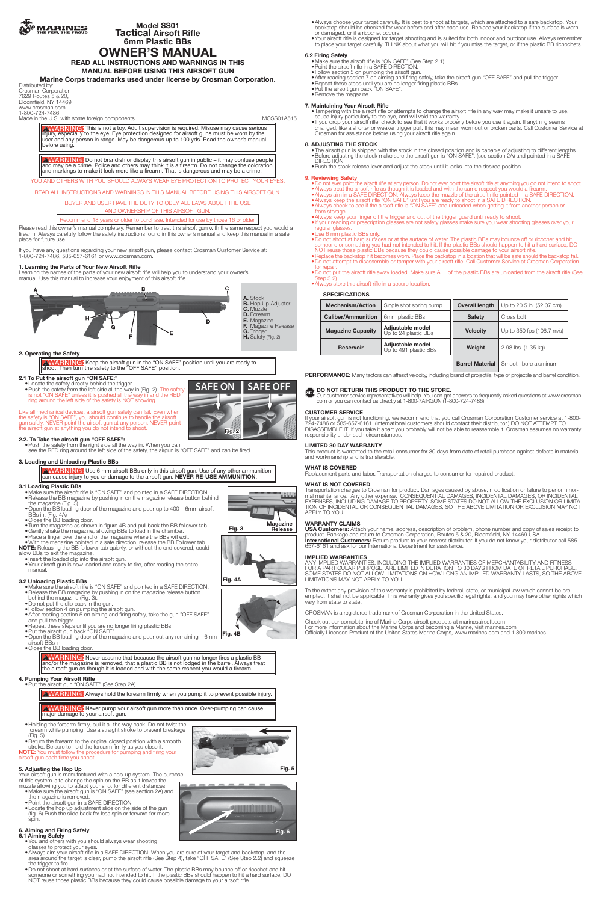

**Model SS01 Tactical Airsoft Rifle 6mm Plastic BBs**

# **OWNER'S MANUAL**

**READ ALL INSTRUCTIONS AND WARNINGS IN THIS MANUAL BEFORE USING THIS AIRSOFT GUN**

**Marine Corps trademarks used under license by Crosman Corporation.**

Distributed by: Crosman Corporation 7629 Routes 5 & 20, Bloomfield, NY 14469 www.crosman.com 1-800-724-7486

Made in the U.S. with some foreign components. MCSS01A515

**AWARNING:** Do not brandish or display this airsoft gun in public – it may confuse people and may be a crime. Police and others may think it is a firearm. Do not change the coloration and markings to make it look more like a firearm. That is dangerous and may be a crime.

YOU AND OTHERS WITH YOU SHOULD ALWAYS WEAR EYE PROTECTION TO PROTECT YOUR EYES.

WARNING: This is not a toy. Adult supervision is required. Misuse may cause serious injury, especially to the eye. Eye protection designed for airsoft guns must be worn by the user and any person in range. May be dangerous up to 100 yds. Read the owner's manual before using.

READ ALL INSTRUCTIONS AND WARNINGS IN THIS MANUAL BEFORE USING THIS AIRSOFT GUN.

## BUYER AND USER HAVE THE DUTY TO OBEY ALL LAWS ABOUT THE USE

AND OWNERSHIP OF THIS AIRSOFT GUN.

Recommend 18 years or older to purchase. Intended for use by those 16 or older

• Push the safety from the left side all the way in (Fig. 2). The safety is not "ON SAFE" unless it is pushed all the way in and the RED ring around the left side of the safety is NOT showing.

Please read this owner's manual completely. Remember to treat this airsoft gun with the same respect you would a firearm. Always carefully follow the safety instructions found in this owner's manual and keep this manual in a safe place for future use.

If you have any questions regarding your new airsoft gun, please contact Crosman Customer Service at: 1-800-724-7486, 585-657-6161 or www.crosman.com.

## **1. Learning the Parts of Your New Airsoft Rifle**

Learning the names of the parts of your new airsoft rifle will help you to understand your owner's manual. Use this manual to increase your enjoyment of this airsoft rifle.



## **2. Operating the Safety**

**AWARNING:** Keep the airsoft gun in the "ON SAFE" position until you are ready to shoot. Then turn the safety to the "OFF SAFE" position.

# **2.1 To Put the airsoft gun "ON SAFE:"**<br>• Locate the safety directly behind the trigger.

AWARNING: Never assume that because the airsoft gun no longer fires a plastic BB and/or the magazine is removed, that a plastic BB is not lodged in the barrel. Always treat the airsoft gun as though it is loaded and with the same respect you would a firearm.

AWARNING: Never pump your airsoft gun more than once. Over-pumping can cause major damage to your airsoft gun.

Like all mechanical devices, a airsoft gun safety can fail. Even when the safety is "ON SAFE", you should continue to handle the airsoft gun safely. NEVER point the airsoft gun at any person. NEVER point the airsoft gun at anything you do not intend to shoot.

## **2.2. To Take the airsoft gun "OFF SAFE":**

•Push the safety from the right side all the way in. When you can see the RED ring around the left side of the safety, the airgun is "OFF SAFE" and can be fired.

## **3. Loading and Unloading Plastic BBs**

A WARNING: Use 6 mm airsoft BBs only in this airsoft gun. Use of any other ammunition can cause injury to you or damage to the airsoft gun. NEVER RE-USE AMMUNITION.

## **3.1 Loading Plastic BBs**

- **6.1 Aiming Safely**<br>• You and others with you should always wear shooting glasses to protect your eyes.
	- •Always aim your airsoft rifle in a SAFE DIRECTION. When you are sure of your target and backstop, and the area around the target is clear, pump the airsoft rifle (See Step 4), take "OFF SAFE" (See Step 2.2) and squeeze the trigger to fire.
- •Do not shoot at hard surfaces or at the surface of water. The plastic BBs may bounce off or ricochet and hit someone or something you had not intended to hit. If the plastic BBs should happen to hit a hard surface, DO NOT reuse those plastic BBs because they could cause possible damage to your airsoft rifle.
- •Make sure the airsoft rifle is "ON SAFE" and pointed in a SAFE DIRECTION. •Release the BB magazine by pushing in on the magazine release button behind the magazine (Fig. 3).
- •Open the BB loading door of the magazine and pour up to 400 6mm airsoft BBs in. (Fig. 4A)
- •Close the BB loading door.
- •Turn the magazine as shown in figure 4B and pull back the BB follower tab.
- •Gently shake the magazine, allowing BBs to load in the chamber.
- •Place a finger over the end of the magazine where the BBs will exit.
- •With the magazine pointed in a safe direction, release the BB Follower tab. **NOTE:** Releasing the BB follower tab quickly, or without the end covered, could allow BBs to exit the magazine.
- 
- •Insert the loaded clip into the airsoft gun. •Your airsoft gun is now loaded and ready to fire, after reading the entire manual.

- Make sure the airsoft rifle is "ON SAFE" (See Step 2.1).
- •Point the airsoft rifle in a SAFE DIRECTION. •Follow section 5 on pumping the airsoft gun.
- •After reading section 7 on aiming and firing safely, take the airsoft gun "OFF SAFE" and pull the trigger.
- •Repeat these steps until you are no longer firing plastic BBs.
- •Put the airsoft gun back "ON SAFE".
- •Remove the magazine.

- **3.2 Unloading Plastic BBs** •Make sure the airsoft rifle is "ON SAFE" and pointed in a SAFE DIRECTION. •Release the BB magazine by pushing in on the magazine release button behind the magazine (Fig. 3).
- •Do not put the clip back in the gun.
- •Follow section 4 on pumping the airsoft gun.
- •After reading section 5 on aiming and firing safely, take the gun "OFF SAFE" and pull the trigger.
- •Repeat these steps until you are no longer firing plastic BBs.
- •Put the airsoft gun back "ON SAFE".
- •Open the BB loading door of the magazine and pour out any remaining 6mm airsoft BBs in.
- •Close the BB loading door.

**4. Pumping Your Airsoft Rifle** •Put the airsoft gun "ON SAFE" (See Step 2A).

Always hold the forearm firmly when you pump it to prevent possible injury. WARNING:

- •Holding the forearm firmly, pull it all the way back. Do not twist the forearm while pumping. Use a straight stroke to prevent breakage (Fig. 5).
- Return the forearm to the original closed position with a smooth stroke. Be sure to hold the forearm firmly as you close it. **NOTE:** You must follow the procedure for pumping and firing your

airsoft gun each time you shoot.

## **5. Adjusting the Hop Up**

Your airsoft gun is manufactured with a hop-up system. The purpose of this system is to change the spin on the BB as it leaves the muzzle allowing you to adapt your shot for different distances.

- •Make sure the airsoft gun is "ON SAFE" (see section 2A) and the magazine is removed.
- •Point the airsoft gun in a SAFE DIRECTION.
- Locate the hop up adjustment slide on the side of the gun (fig. 6) Push the slide back for less spin or forward for more spin.

## **6. Aiming and Firing Safely**



**Magazine Fig. 3 Release**

**Fig. 4A**







- •Always choose your target carefully. It is best to shoot at targets, which are attached to a safe backstop. Your backstop should be checked for wear before and after each use. Replace your backstop if the surface is worn or damaged, or if a ricochet occurs.
- •Your airsoft rifle is designed for target shooting and is suited for both indoor and outdoor use. Always remember to place your target carefully. THINK about what you will hit if you miss the target, or if the plastic BB richochets.

## **6.2 Firing Safely**

## **7. Maintaining Your Airsoft Rifle**

•Tampering with the airsoft rifle or attempts to change the airsoft rifle in any way may make it unsafe to use, cause injury particularly to the eye, and will void the warranty.

•If you drop your airsoft rifle, check to see that it works properly before you use it again. If anything seems changed, like a shorter or weaker trigger pull, this may mean worn out or broken parts. Call Customer Service at Crosman for assistance before using your airsoft rifle again.

## **8. ADJUSTING THE STOCK**

•The airsoft gun is shipped with the stock in the closed position and is capable of adjusting to different lengths. •Before adjusting the stock make sure the airsoft gun is "ON SAFE", (see section 2A) and pointed in a SAFE DIRECTION.

•Push the stock release lever and adjust the stock until it locks into the desired position.

## **9. Reviewing Safety**

- •Do not ever point the airsoft rifle at any person. Do not ever point the airsoft rifle at anything you do not intend to shoot. •Always treat the airsoft rifle as though it is loaded and with the same respect you would a firearm.
- •Always aim in a SAFE DIRECTION. Always keep the muzzle of the airsoft rifle pointed in a SAFE DIRECTION. •Always keep the airsoft rifle "ON SAFE" until you are ready to shoot in a SAFE DIRECTION. •Always check to see if the airsoft rifle is "ON SAFE" and unloaded when getting it from another person or from storage.
- •Always keep your finger off the trigger and out of the trigger guard until ready to shoot.

•If your reading or prescription glasses are not safety glasses make sure you wear shooting glasses over your regular glasses.

•Use 6 mm plastic BBs only.

•Do not shoot at hard surfaces or at the surface of water. The plastic BBs may bounce off or ricochet and hit someone or something you had not intended to hit. If the plastic BBs should happen to hit a hard surface, DO NOT reuse those plastic BBs because they could cause possible damage to your airsoft rifle.

•Replace the backstop if it becomes worn. Place the backstop in a location that will be safe should the backstop fail. •Do not attempt to disassemble or tamper with your airsoft rifle. Call Customer Service at Crosman Corporation for repair.

- •Do not put the airsoft rifle away loaded. Make sure ALL of the plastic BBs are unloaded from the airsoft rifle (See **Step 3.2**
- •Always store this airsoft rifle in a secure location.

## **SPECIFICATIONS**

| <b>Mechanism/Action</b>   | Single shot spring pump                   | <b>Overall length</b> | Up to 20.5 in. (52.07 cm) |
|---------------------------|-------------------------------------------|-----------------------|---------------------------|
| <b>Caliber/Ammunition</b> | 6mm plastic BBs                           | <b>Safety</b>         | Cross bolt                |
| <b>Magazine Capacity</b>  | Adjustable model<br>Up to 24 plastic BBs  | <b>Velocity</b>       | Up to 350 fps (106.7 m/s) |
| <b>Reservoir</b>          | Adjustable model<br>Up to 491 plastic BBs | Weight                | 2.98 lbs. (1.35 kg)       |
|                           |                                           |                       |                           |

**Barrel Material** Smooth bore aluminum

**PERFORMANCE:** Many factors can affezct velocity, including brand of projectile, type of projectile and barrel condition.

# **DO NOT RETURN THIS PRODUCT TO THE STORE.**

Our customer service representatives will help. You can get answers to frequently asked questions at www.crosman. com or you can contact us directly at 1-800-7AIRGUN (1-800-724-7486)

## **CUSTOMER SERVICE**

If your airsoft gun is not functioning, we recommend that you call Crosman Corporation Customer service at 1-800- 724-7486 or 585-657-6161. (International customers should contact their distributor.) DO NOT ATTEMPT TO DISASSEMBLE IT! If you take it apart you probably will not be able to reassemble it. Crosman assumes no warranty responsibility under such circumstances.

## **LIMITED 30 DAY WARRANTY**

This product is warranted to the retail consumer for 30 days from date of retail purchase against defects in material and workmanship and is transferable.

**WHAT IS COVERED** Replacement parts and labor. Transportation charges to consumer for repaired product.

## **WHAT IS NOT COVERED**

Transportation charges to Crosman for product. Damages caused by abuse, modification or failure to perform normal maintenance. Any other expense. CONSEQUENTIAL DAMAGES, INCIDENTAL DAMAGES, OR INCIDENTAL EXPENSES, INCLUDING DAMAGE TO PROPERTY. SOME STATES DO NOT ALLOW THE EXCLUSION OR LIMITA-TION OF INCIDENTAL OR CONSEQUENTIAL DAMAGES, SO THE ABOVE LIMITATION OR EXCLUSION MAY NOT APPLY TO YOU.

## **WARRANTY CLAIMS**

**USA Customers:** Attach your name, address, description of problem, phone number and copy of sales receipt to product. Package and return to Crosman Corporation, Routes 5 & 20, Bloomfield, NY 14469 USA. **International Customers:** Return product to your nearest distributor. If you do not know your distributor call 585- 657-6161 and ask for our International Department for assistance.

## **IMPLIED WARRANTIES**

ANY IMPLIED WARRANTIES, INCLUDING THE IMPLIED WARRANTIES OF MERCHANTABILITY AND FITNESS FOR A PARTICULAR PURPOSE, ARE LIMITED IN DURATION TO 30 DAYS FROM DATE OF RETAIL PURCHASE. SOME STATES DO NOT ALLOW LIMITATIONS ON HOW LONG AN IMPLIED WARRANTY LASTS, SO THE ABOVE LIMITATIONS MAY NOT APPLY TO YOU.

To the extent any provision of this warranty is prohibited by federal, state, or municipal law which cannot be preempted, it shall not be applicable. This warranty gives you specific legal rights, and you may have other rights which vary from state to state.

CROSMAN is a registered trademark of Crosman Corporation in the United States.

Check out our complete line of Marine Corps airsoft products at marinesairsoft.com

For more information about the Marine Corps and becoming a Marine, visit marines.com Officially Licensed Product of the United States Marine Corps, www.marines.com and 1.800.marines.